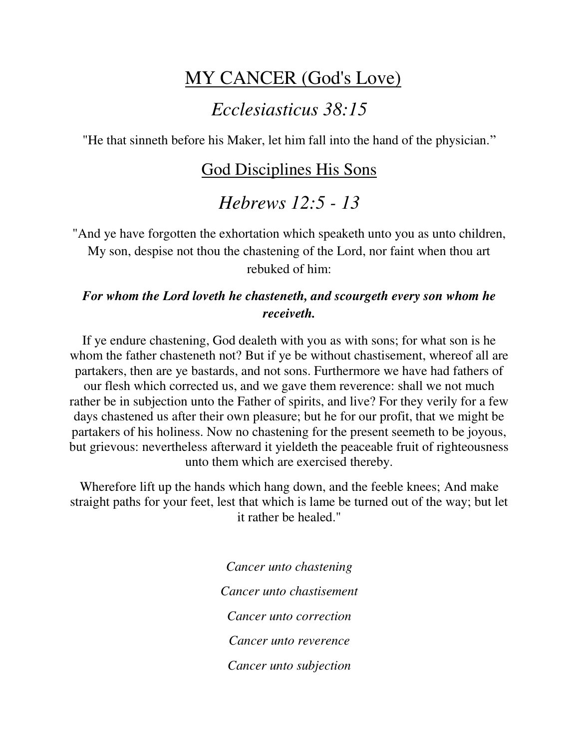## MY CANCER (God's Love)

### *Ecclesiasticus 38:15*

"He that sinneth before his Maker, let him fall into the hand of the physician."

### God Disciplines His Sons

# *Hebrews 12:5 - 13*

"And ye have forgotten the exhortation which speaketh unto you as unto children, My son, despise not thou the chastening of the Lord, nor faint when thou art rebuked of him:

#### *For whom the Lord loveth he chasteneth, and scourgeth every son whom he receiveth.*

If ye endure chastening, God dealeth with you as with sons; for what son is he whom the father chasteneth not? But if ye be without chastisement, whereof all are partakers, then are ye bastards, and not sons. Furthermore we have had fathers of our flesh which corrected us, and we gave them reverence: shall we not much rather be in subjection unto the Father of spirits, and live? For they verily for a few days chastened us after their own pleasure; but he for our profit, that we might be partakers of his holiness. Now no chastening for the present seemeth to be joyous, but grievous: nevertheless afterward it yieldeth the peaceable fruit of righteousness unto them which are exercised thereby.

Wherefore lift up the hands which hang down, and the feeble knees; And make straight paths for your feet, lest that which is lame be turned out of the way; but let it rather be healed."

> *Cancer unto chastening Cancer unto chastisement Cancer unto correction Cancer unto reverence Cancer unto subjection*